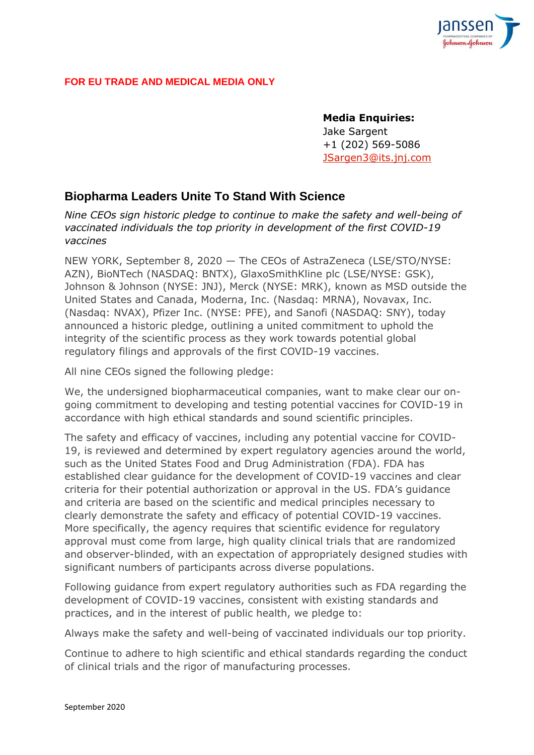

### **FOR EU TRADE AND MEDICAL MEDIA ONLY**

### **Media Enquiries:** Jake Sargent +1 (202) 569-5086 [JSargen3@its.jnj.com](mailto:JSargen3@its.jnj.com)

# **Biopharma Leaders Unite To Stand With Science**

*Nine CEOs sign historic pledge to continue to make the safety and well-being of vaccinated individuals the top priority in development of the first COVID-19 vaccines*

NEW YORK, September 8, 2020 — The CEOs of AstraZeneca (LSE/STO/NYSE: AZN), BioNTech (NASDAQ: BNTX), GlaxoSmithKline plc (LSE/NYSE: GSK), Johnson & Johnson (NYSE: JNJ), Merck (NYSE: MRK), known as MSD outside the United States and Canada, Moderna, Inc. (Nasdaq: MRNA), Novavax, Inc. (Nasdaq: NVAX), Pfizer Inc. (NYSE: PFE), and Sanofi (NASDAQ: SNY), today announced a historic pledge, outlining a united commitment to uphold the integrity of the scientific process as they work towards potential global regulatory filings and approvals of the first COVID-19 vaccines.

All nine CEOs signed the following pledge:

We, the undersigned biopharmaceutical companies, want to make clear our ongoing commitment to developing and testing potential vaccines for COVID-19 in accordance with high ethical standards and sound scientific principles.

The safety and efficacy of vaccines, including any potential vaccine for COVID-19, is reviewed and determined by expert regulatory agencies around the world, such as the United States Food and Drug Administration (FDA). FDA has established clear guidance for the development of COVID-19 vaccines and clear criteria for their potential authorization or approval in the US. FDA's guidance and criteria are based on the scientific and medical principles necessary to clearly demonstrate the safety and efficacy of potential COVID-19 vaccines. More specifically, the agency requires that scientific evidence for regulatory approval must come from large, high quality clinical trials that are randomized and observer-blinded, with an expectation of appropriately designed studies with significant numbers of participants across diverse populations.

Following guidance from expert regulatory authorities such as FDA regarding the development of COVID-19 vaccines, consistent with existing standards and practices, and in the interest of public health, we pledge to:

Always make the safety and well-being of vaccinated individuals our top priority.

Continue to adhere to high scientific and ethical standards regarding the conduct of clinical trials and the rigor of manufacturing processes.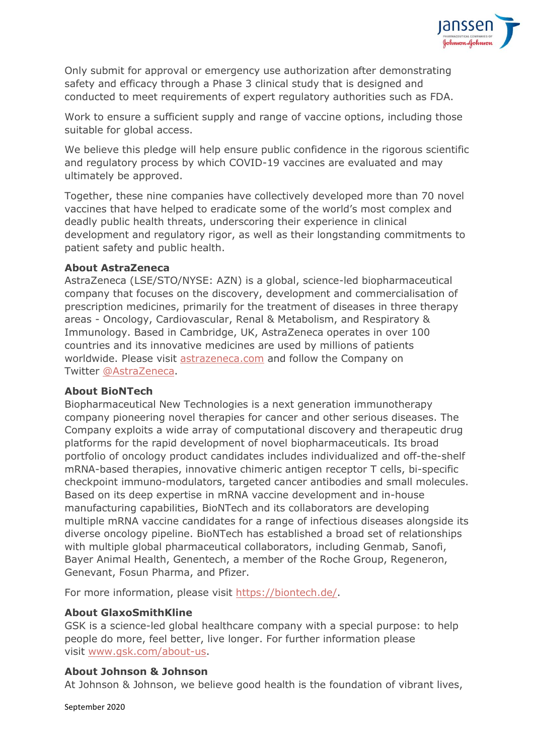

Only submit for approval or emergency use authorization after demonstrating safety and efficacy through a Phase 3 clinical study that is designed and conducted to meet requirements of expert regulatory authorities such as FDA.

Work to ensure a sufficient supply and range of vaccine options, including those suitable for global access.

We believe this pledge will help ensure public confidence in the rigorous scientific and regulatory process by which COVID-19 vaccines are evaluated and may ultimately be approved.

Together, these nine companies have collectively developed more than 70 novel vaccines that have helped to eradicate some of the world's most complex and deadly public health threats, underscoring their experience in clinical development and regulatory rigor, as well as their longstanding commitments to patient safety and public health.

### **About AstraZeneca**

AstraZeneca (LSE/STO/NYSE: AZN) is a global, science-led biopharmaceutical company that focuses on the discovery, development and commercialisation of prescription medicines, primarily for the treatment of diseases in three therapy areas - Oncology, Cardiovascular, Renal & Metabolism, and Respiratory & Immunology. Based in Cambridge, UK, AstraZeneca operates in over 100 countries and its innovative medicines are used by millions of patients worldwide. Please visit [astrazeneca.com](https://www.astrazeneca.com/) and follow the Company on Twitter [@AstraZeneca.](https://twitter.com/AstraZeneca)

### **About BioNTech**

Biopharmaceutical New Technologies is a next generation immunotherapy company pioneering novel therapies for cancer and other serious diseases. The Company exploits a wide array of computational discovery and therapeutic drug platforms for the rapid development of novel biopharmaceuticals. Its broad portfolio of oncology product candidates includes individualized and off-the-shelf mRNA-based therapies, innovative chimeric antigen receptor T cells, bi-specific checkpoint immuno-modulators, targeted cancer antibodies and small molecules. Based on its deep expertise in mRNA vaccine development and in-house manufacturing capabilities, BioNTech and its collaborators are developing multiple mRNA vaccine candidates for a range of infectious diseases alongside its diverse oncology pipeline. BioNTech has established a broad set of relationships with multiple global pharmaceutical collaborators, including Genmab, Sanofi, Bayer Animal Health, Genentech, a member of the Roche Group, Regeneron, Genevant, Fosun Pharma, and Pfizer.

For more information, please visit [https://biontech.de/.](https://biontech.de/)

### **About GlaxoSmithKline**

GSK is a science-led global healthcare company with a special purpose: to help people do more, feel better, live longer. For further information please visit [www.gsk.com/about-us.](http://www.gsk.com/about-us)

### **About Johnson & Johnson**

At Johnson & Johnson, we believe good health is the foundation of vibrant lives,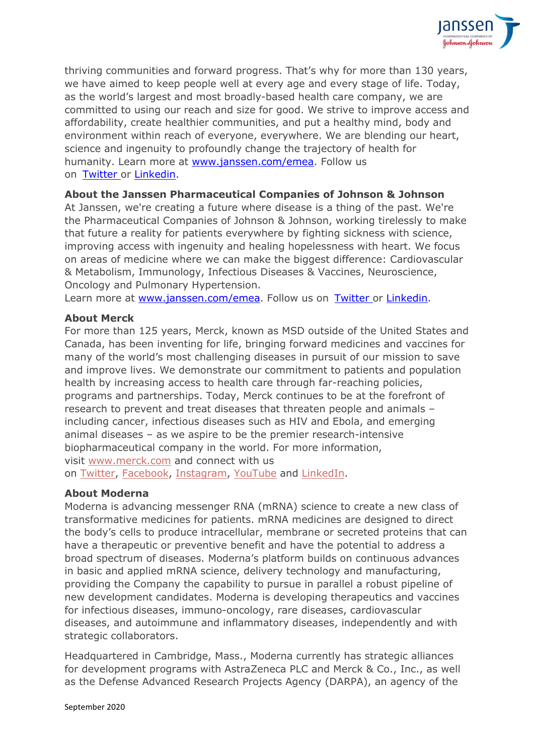

thriving communities and forward progress. That's why for more than 130 years, we have aimed to keep people well at every age and every stage of life. Today, as the world's largest and most broadly-based health care company, we are committed to using our reach and size for good. We strive to improve access and affordability, create healthier communities, and put a healthy mind, body and environment within reach of everyone, everywhere. We are blending our heart, science and ingenuity to profoundly change the trajectory of health for humanity. Learn more at [www.janssen.com/emea.](http://www.janssen.com/emea) Follow us on [Twitter](http://www.twitter.com/janssenemea) or [Linkedin.](https://www.linkedin.com/company/janssen-europe-middle-east-&-africa)

## **About the Janssen Pharmaceutical Companies of Johnson & Johnson**

At Janssen, we're creating a future where disease is a thing of the past. We're the Pharmaceutical Companies of Johnson & Johnson, working tirelessly to make that future a reality for patients everywhere by fighting sickness with science, improving access with ingenuity and healing hopelessness with heart. We focus on areas of medicine where we can make the biggest difference: Cardiovascular & Metabolism, Immunology, Infectious Diseases & Vaccines, Neuroscience, Oncology and Pulmonary Hypertension.

Learn more at [www.janssen.com/emea.](http://www.janssen.com/emea) Follow us on [Twitter](http://www.twitter.com/janssenemea) or [Linkedin.](https://www.linkedin.com/company/janssen-europe-middle-east-&-africa)

### **About Merck**

For more than 125 years, Merck, known as MSD outside of the United States and Canada, has been inventing for life, bringing forward medicines and vaccines for many of the world's most challenging diseases in pursuit of our mission to save and improve lives. We demonstrate our commitment to patients and population health by increasing access to health care through far-reaching policies, programs and partnerships. Today, Merck continues to be at the forefront of research to prevent and treat diseases that threaten people and animals – including cancer, infectious diseases such as HIV and Ebola, and emerging animal diseases – as we aspire to be the premier research-intensive biopharmaceutical company in the world. For more information, visit [www.merck.com](http://www.merck.com/) and connect with us on [Twitter,](https://twitter.com/Merck) [Facebook,](https://www.facebook.com/MerckInvents/) [Instagram,](https://www.instagram.com/merck/) [YouTube](http://www.youtube.com/Merck) and [LinkedIn.](https://www.linkedin.com/company/merck)

#### **About Moderna**

Moderna is advancing messenger RNA (mRNA) science to create a new class of transformative medicines for patients. mRNA medicines are designed to direct the body's cells to produce intracellular, membrane or secreted proteins that can have a therapeutic or preventive benefit and have the potential to address a broad spectrum of diseases. Moderna's platform builds on continuous advances in basic and applied mRNA science, delivery technology and manufacturing, providing the Company the capability to pursue in parallel a robust pipeline of new development candidates. Moderna is developing therapeutics and vaccines for infectious diseases, immuno-oncology, rare diseases, cardiovascular diseases, and autoimmune and inflammatory diseases, independently and with strategic collaborators.

Headquartered in Cambridge, Mass., Moderna currently has strategic alliances for development programs with AstraZeneca PLC and Merck & Co., Inc., as well as the Defense Advanced Research Projects Agency (DARPA), an agency of the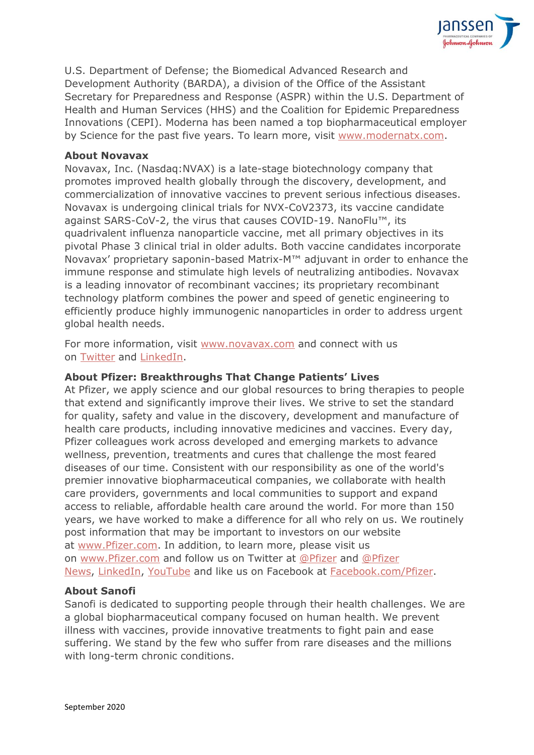

U.S. Department of Defense; the Biomedical Advanced Research and Development Authority (BARDA), a division of the Office of the Assistant Secretary for Preparedness and Response (ASPR) within the U.S. Department of Health and Human Services (HHS) and the Coalition for Epidemic Preparedness Innovations (CEPI). Moderna has been named a top biopharmaceutical employer by Science for the past five years. To learn more, visit [www.modernatx.com.](http://www.modernatx.com/)

#### **About Novavax**

Novavax, Inc. (Nasdaq:NVAX) is a late-stage biotechnology company that promotes improved health globally through the discovery, development, and commercialization of innovative vaccines to prevent serious infectious diseases. Novavax is undergoing clinical trials for NVX-CoV2373, its vaccine candidate against SARS-CoV-2, the virus that causes COVID-19. NanoFlu™, its quadrivalent influenza nanoparticle vaccine, met all primary objectives in its pivotal Phase 3 clinical trial in older adults. Both vaccine candidates incorporate Novavax' proprietary saponin-based Matrix-M™ adjuvant in order to enhance the immune response and stimulate high levels of neutralizing antibodies. Novavax is a leading innovator of recombinant vaccines; its proprietary recombinant technology platform combines the power and speed of genetic engineering to efficiently produce highly immunogenic nanoparticles in order to address urgent global health needs.

For more information, visit [www.novavax.com](http://www.novavax.com/) and connect with us on [Twitter](https://www.globenewswire.com/Tracker?data=9USHcoUlHZoPVSa-GgivtbEgqsZi9mAsDCE9GteqF6Y5gO2yigC_C0iNxDPMaveQr3T_2EdXeM8qowxXH43Asg==) and [LinkedIn.](https://www.globenewswire.com/Tracker?data=T1J-TzhPV2R97L-v5oTWjoGmeiUIDTEXpP46Sd3kt0VepU-sIAsEq-TBHlCy-MZfiLY3Tk0x2nx16AO3g8NjhXHnEqXcDChH6BSZ09wIPH0=)

#### **About Pfizer: Breakthroughs That Change Patients' Lives**

At Pfizer, we apply science and our global resources to bring therapies to people that extend and significantly improve their lives. We strive to set the standard for quality, safety and value in the discovery, development and manufacture of health care products, including innovative medicines and vaccines. Every day, Pfizer colleagues work across developed and emerging markets to advance wellness, prevention, treatments and cures that challenge the most feared diseases of our time. Consistent with our responsibility as one of the world's premier innovative biopharmaceutical companies, we collaborate with health care providers, governments and local communities to support and expand access to reliable, affordable health care around the world. For more than 150 years, we have worked to make a difference for all who rely on us. We routinely post information that may be important to investors on our website at [www.Pfizer.com.](http://www.pfizer.com/) In addition, to learn more, please visit us on [www.Pfizer.com](http://www.pfizer.com/) and follow us on Twitter at [@Pfizer](https://twitter.com/pfizer) and [@Pfizer](https://twitter.com/pfizer_news)  [News,](https://twitter.com/pfizer_news) [LinkedIn,](https://www.linkedin.com/company/pfizer) [YouTube](https://www.youtube.com/pfizer) and like us on Facebook at [Facebook.com/Pfizer.](https://www.facebook.com/Pfizer/)

### **About Sanofi**

Sanofi is dedicated to supporting people through their health challenges. We are a global biopharmaceutical company focused on human health. We prevent illness with vaccines, provide innovative treatments to fight pain and ease suffering. We stand by the few who suffer from rare diseases and the millions with long-term chronic conditions.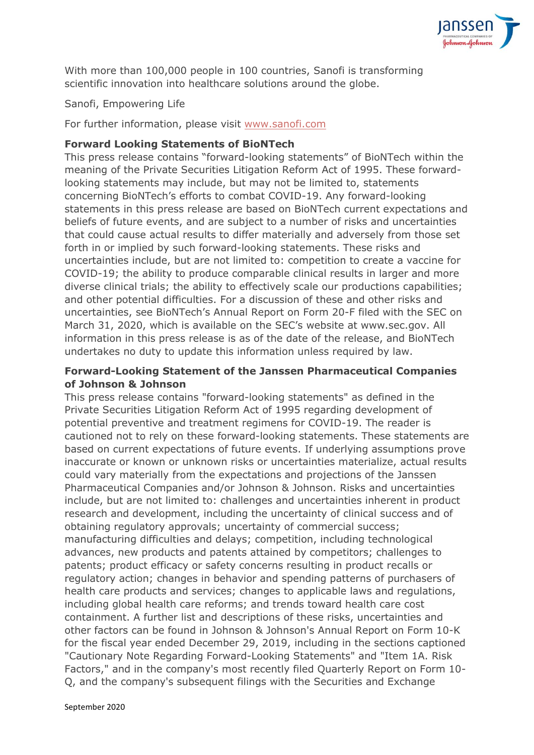

With more than 100,000 people in 100 countries, Sanofi is transforming scientific innovation into healthcare solutions around the globe.

Sanofi, Empowering Life

For further information, please visit [www.sanofi.com](http://www.sanofi.com/)

### **Forward Looking Statements of BioNTech**

This press release contains "forward-looking statements" of BioNTech within the meaning of the Private Securities Litigation Reform Act of 1995. These forwardlooking statements may include, but may not be limited to, statements concerning BioNTech's efforts to combat COVID-19. Any forward-looking statements in this press release are based on BioNTech current expectations and beliefs of future events, and are subject to a number of risks and uncertainties that could cause actual results to differ materially and adversely from those set forth in or implied by such forward-looking statements. These risks and uncertainties include, but are not limited to: competition to create a vaccine for COVID-19; the ability to produce comparable clinical results in larger and more diverse clinical trials; the ability to effectively scale our productions capabilities; and other potential difficulties. For a discussion of these and other risks and uncertainties, see BioNTech's Annual Report on Form 20-F filed with the SEC on March 31, 2020, which is available on the SEC's website at www.sec.gov. All information in this press release is as of the date of the release, and BioNTech undertakes no duty to update this information unless required by law.

### **Forward-Looking Statement of the Janssen Pharmaceutical Companies of Johnson & Johnson**

This press release contains "forward-looking statements" as defined in the Private Securities Litigation Reform Act of 1995 regarding development of potential preventive and treatment regimens for COVID-19. The reader is cautioned not to rely on these forward-looking statements. These statements are based on current expectations of future events. If underlying assumptions prove inaccurate or known or unknown risks or uncertainties materialize, actual results could vary materially from the expectations and projections of the Janssen Pharmaceutical Companies and/or Johnson & Johnson. Risks and uncertainties include, but are not limited to: challenges and uncertainties inherent in product research and development, including the uncertainty of clinical success and of obtaining regulatory approvals; uncertainty of commercial success; manufacturing difficulties and delays; competition, including technological advances, new products and patents attained by competitors; challenges to patents; product efficacy or safety concerns resulting in product recalls or regulatory action; changes in behavior and spending patterns of purchasers of health care products and services; changes to applicable laws and regulations, including global health care reforms; and trends toward health care cost containment. A further list and descriptions of these risks, uncertainties and other factors can be found in Johnson & Johnson's Annual Report on Form 10-K for the fiscal year ended December 29, 2019, including in the sections captioned "Cautionary Note Regarding Forward-Looking Statements" and "Item 1A. Risk Factors," and in the company's most recently filed Quarterly Report on Form 10- Q, and the company's subsequent filings with the Securities and Exchange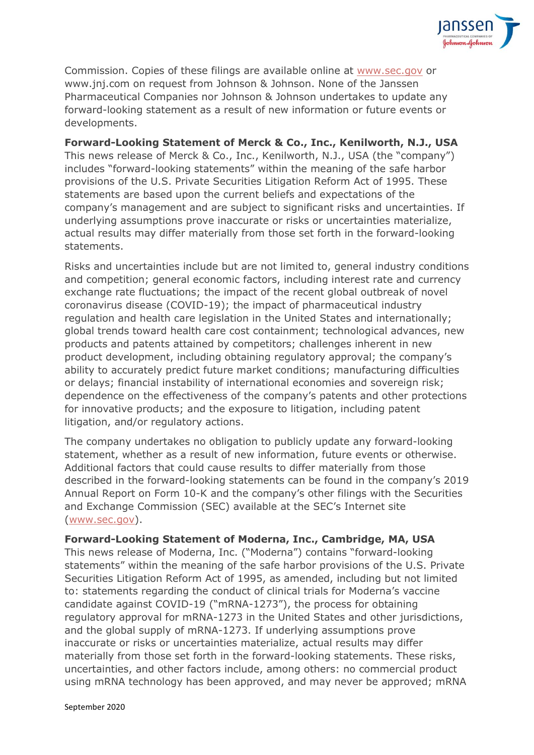

Commission. Copies of these filings are available online at [www.sec.gov](https://protect-us.mimecast.com/s/XERUCyPzwBH2ALB9IMHmD9?domain=urldefense.proofpoint.com) or www.jnj.com on request from Johnson & Johnson. None of the Janssen Pharmaceutical Companies nor Johnson & Johnson undertakes to update any forward-looking statement as a result of new information or future events or developments.

**Forward-Looking Statement of Merck & Co., Inc., Kenilworth, N.J., USA** This news release of Merck & Co., Inc., Kenilworth, N.J., USA (the "company") includes "forward-looking statements" within the meaning of the safe harbor provisions of the U.S. Private Securities Litigation Reform Act of 1995. These statements are based upon the current beliefs and expectations of the company's management and are subject to significant risks and uncertainties. If underlying assumptions prove inaccurate or risks or uncertainties materialize, actual results may differ materially from those set forth in the forward-looking statements.

Risks and uncertainties include but are not limited to, general industry conditions and competition; general economic factors, including interest rate and currency exchange rate fluctuations; the impact of the recent global outbreak of novel coronavirus disease (COVID-19); the impact of pharmaceutical industry regulation and health care legislation in the United States and internationally; global trends toward health care cost containment; technological advances, new products and patents attained by competitors; challenges inherent in new product development, including obtaining regulatory approval; the company's ability to accurately predict future market conditions; manufacturing difficulties or delays; financial instability of international economies and sovereign risk; dependence on the effectiveness of the company's patents and other protections for innovative products; and the exposure to litigation, including patent litigation, and/or regulatory actions.

The company undertakes no obligation to publicly update any forward-looking statement, whether as a result of new information, future events or otherwise. Additional factors that could cause results to differ materially from those described in the forward-looking statements can be found in the company's 2019 Annual Report on Form 10-K and the company's other filings with the Securities and Exchange Commission (SEC) available at the SEC's Internet site [\(www.sec.gov\)](http://www.sec.gov/).

#### **Forward-Looking Statement of Moderna, Inc., Cambridge, MA, USA**

This news release of Moderna, Inc. ("Moderna") contains "forward-looking statements" within the meaning of the safe harbor provisions of the U.S. Private Securities Litigation Reform Act of 1995, as amended, including but not limited to: statements regarding the conduct of clinical trials for Moderna's vaccine candidate against COVID-19 ("mRNA-1273"), the process for obtaining regulatory approval for mRNA-1273 in the United States and other jurisdictions, and the global supply of mRNA-1273. If underlying assumptions prove inaccurate or risks or uncertainties materialize, actual results may differ materially from those set forth in the forward-looking statements. These risks, uncertainties, and other factors include, among others: no commercial product using mRNA technology has been approved, and may never be approved; mRNA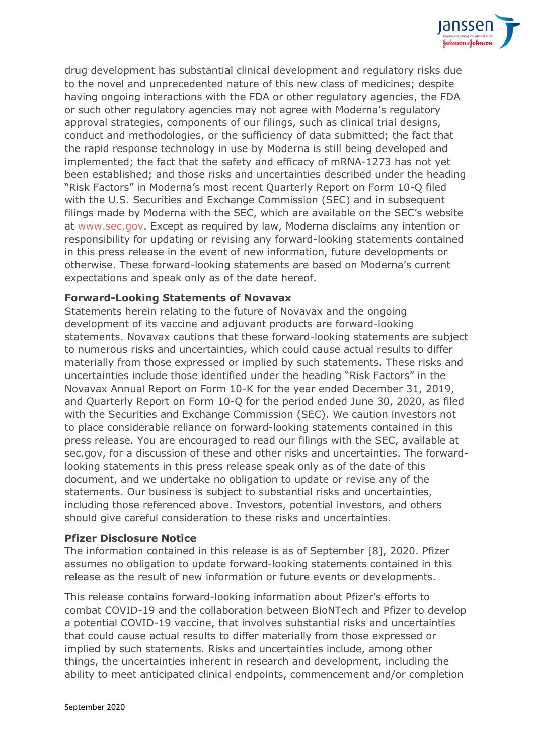

drug development has substantial clinical development and regulatory risks due to the novel and unprecedented nature of this new class of medicines; despite having ongoing interactions with the FDA or other regulatory agencies, the FDA or such other regulatory agencies may not agree with Moderna's regulatory approval strategies, components of our filings, such as clinical trial designs, conduct and methodologies, or the sufficiency of data submitted; the fact that the rapid response technology in use by Moderna is still being developed and implemented; the fact that the safety and efficacy of mRNA-1273 has not yet been established; and those risks and uncertainties described under the heading "Risk Factors" in Moderna's most recent Quarterly Report on Form 10-Q filed with the U.S. Securities and Exchange Commission (SEC) and in subsequent filings made by Moderna with the SEC, which are available on the SEC's website at [www.sec.gov.](https://protect-us.mimecast.com/s/yubUCW61PrfXx3vpcx_SMW?domain=urldefense.proofpoint.com) Except as required by law, Moderna disclaims any intention or responsibility for updating or revising any forward-looking statements contained in this press release in the event of new information, future developments or otherwise. These forward-looking statements are based on Moderna's current expectations and speak only as of the date hereof.

### **Forward-Looking Statements of Novavax**

Statements herein relating to the future of Novavax and the ongoing development of its vaccine and adjuvant products are forward-looking statements. Novavax cautions that these forward-looking statements are subject to numerous risks and uncertainties, which could cause actual results to differ materially from those expressed or implied by such statements. These risks and uncertainties include those identified under the heading "Risk Factors" in the Novavax Annual Report on Form 10-K for the year ended December 31, 2019, and Quarterly Report on Form 10-Q for the period ended June 30, 2020, as filed with the Securities and Exchange Commission (SEC). We caution investors not to place considerable reliance on forward-looking statements contained in this press release. You are encouraged to read our filings with the SEC, available at sec.gov, for a discussion of these and other risks and uncertainties. The forwardlooking statements in this press release speak only as of the date of this document, and we undertake no obligation to update or revise any of the statements. Our business is subject to substantial risks and uncertainties, including those referenced above. Investors, potential investors, and others should give careful consideration to these risks and uncertainties.

#### **Pfizer Disclosure Notice**

The information contained in this release is as of September [8], 2020. Pfizer assumes no obligation to update forward-looking statements contained in this release as the result of new information or future events or developments.

This release contains forward-looking information about Pfizer's efforts to combat COVID-19 and the collaboration between BioNTech and Pfizer to develop a potential COVID-19 vaccine, that involves substantial risks and uncertainties that could cause actual results to differ materially from those expressed or implied by such statements. Risks and uncertainties include, among other things, the uncertainties inherent in research and development, including the ability to meet anticipated clinical endpoints, commencement and/or completion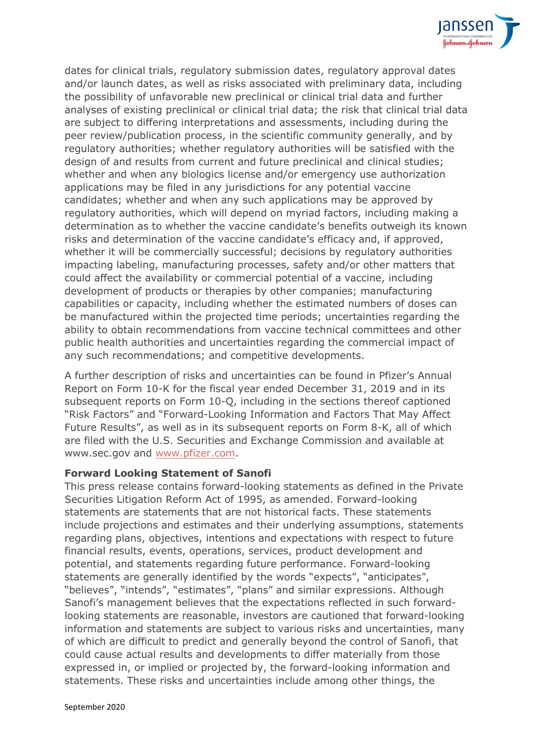

dates for clinical trials, regulatory submission dates, regulatory approval dates and/or launch dates, as well as risks associated with preliminary data, including the possibility of unfavorable new preclinical or clinical trial data and further analyses of existing preclinical or clinical trial data; the risk that clinical trial data are subject to differing interpretations and assessments, including during the peer review/publication process, in the scientific community generally, and by regulatory authorities; whether regulatory authorities will be satisfied with the design of and results from current and future preclinical and clinical studies; whether and when any biologics license and/or emergency use authorization applications may be filed in any jurisdictions for any potential vaccine candidates; whether and when any such applications may be approved by regulatory authorities, which will depend on myriad factors, including making a determination as to whether the vaccine candidate's benefits outweigh its known risks and determination of the vaccine candidate's efficacy and, if approved, whether it will be commercially successful; decisions by regulatory authorities impacting labeling, manufacturing processes, safety and/or other matters that could affect the availability or commercial potential of a vaccine, including development of products or therapies by other companies; manufacturing capabilities or capacity, including whether the estimated numbers of doses can be manufactured within the projected time periods; uncertainties regarding the ability to obtain recommendations from vaccine technical committees and other public health authorities and uncertainties regarding the commercial impact of any such recommendations; and competitive developments.

A further description of risks and uncertainties can be found in Pfizer's Annual Report on Form 10-K for the fiscal year ended December 31, 2019 and in its subsequent reports on Form 10-Q, including in the sections thereof captioned "Risk Factors" and "Forward-Looking Information and Factors That May Affect Future Results", as well as in its subsequent reports on Form 8-K, all of which are filed with the U.S. Securities and Exchange Commission and available at www.sec.gov and [www.pfizer.com.](http://www.pfizer.com/)

#### **Forward Looking Statement of Sanofi**

This press release contains forward-looking statements as defined in the Private Securities Litigation Reform Act of 1995, as amended. Forward-looking statements are statements that are not historical facts. These statements include projections and estimates and their underlying assumptions, statements regarding plans, objectives, intentions and expectations with respect to future financial results, events, operations, services, product development and potential, and statements regarding future performance. Forward-looking statements are generally identified by the words "expects", "anticipates", "believes", "intends", "estimates", "plans" and similar expressions. Although Sanofi's management believes that the expectations reflected in such forwardlooking statements are reasonable, investors are cautioned that forward-looking information and statements are subject to various risks and uncertainties, many of which are difficult to predict and generally beyond the control of Sanofi, that could cause actual results and developments to differ materially from those expressed in, or implied or projected by, the forward-looking information and statements. These risks and uncertainties include among other things, the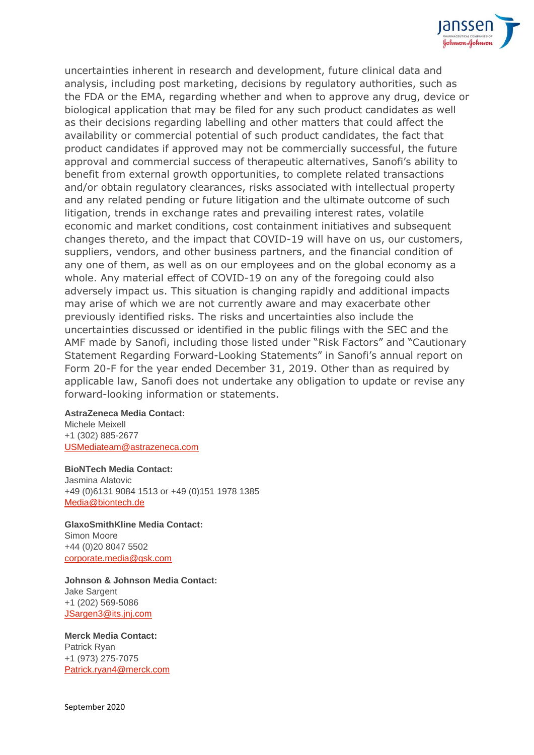

uncertainties inherent in research and development, future clinical data and analysis, including post marketing, decisions by regulatory authorities, such as the FDA or the EMA, regarding whether and when to approve any drug, device or biological application that may be filed for any such product candidates as well as their decisions regarding labelling and other matters that could affect the availability or commercial potential of such product candidates, the fact that product candidates if approved may not be commercially successful, the future approval and commercial success of therapeutic alternatives, Sanofi's ability to benefit from external growth opportunities, to complete related transactions and/or obtain regulatory clearances, risks associated with intellectual property and any related pending or future litigation and the ultimate outcome of such litigation, trends in exchange rates and prevailing interest rates, volatile economic and market conditions, cost containment initiatives and subsequent changes thereto, and the impact that COVID-19 will have on us, our customers, suppliers, vendors, and other business partners, and the financial condition of any one of them, as well as on our employees and on the global economy as a whole. Any material effect of COVID-19 on any of the foregoing could also adversely impact us. This situation is changing rapidly and additional impacts may arise of which we are not currently aware and may exacerbate other previously identified risks. The risks and uncertainties also include the uncertainties discussed or identified in the public filings with the SEC and the AMF made by Sanofi, including those listed under "Risk Factors" and "Cautionary Statement Regarding Forward-Looking Statements" in Sanofi's annual report on Form 20-F for the year ended December 31, 2019. Other than as required by applicable law, Sanofi does not undertake any obligation to update or revise any forward-looking information or statements.

#### **AstraZeneca Media Contact:**

Michele Meixell +1 (302) 885-2677 [USMediateam@astrazeneca.com](mailto:USMediateam@astrazeneca.com)

**BioNTech Media Contact:** Jasmina Alatovic +49 (0)6131 9084 1513 or +49 (0)151 1978 1385 [Media@biontech.de](mailto:Media@biontech.de)

**GlaxoSmithKline Media Contact:** Simon Moore +44 (0)20 8047 5502 [corporate.media@gsk.com](mailto:corporate.media@gsk.com)

**Johnson & Johnson Media Contact:** Jake Sargent +1 (202) 569-5086 [JSargen3@its.jnj.com](mailto:JSargen3@its.jnj.com)

**Merck Media Contact:** Patrick Ryan +1 (973) 275-7075 [Patrick.ryan4@merck.com](mailto:Patrick.ryan4@merck.com)